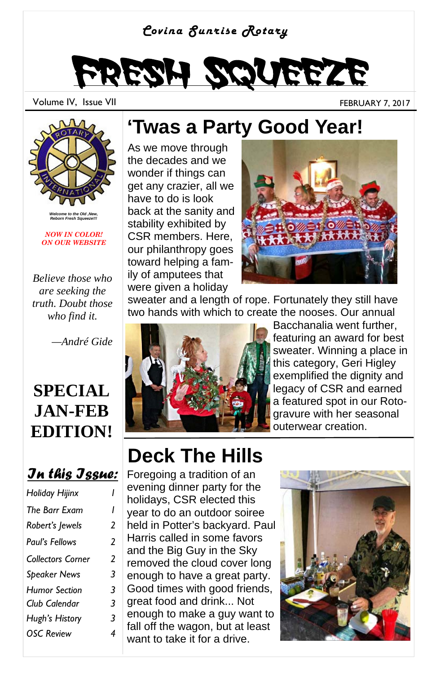#### *Covina Sunrise Rotary*

# Fresh Squeeze

Volume IV, Issue VII FEBRUARY 7, 2017



*Welcome to the Old ,New, Reborn Fresh Squeeze!!!* 

*NOW IN COLOR! ON OUR WEBSITE* 

*Believe those who are seeking the truth. Doubt those who find it.* 

 *—André Gide* 

#### **SPECIAL JAN-FEB EDITION!**

#### *In this Issue:*

| Holiday Hijinx           |   |
|--------------------------|---|
| The Barr Exam            | ı |
| Robert's Jewels          | 2 |
| Paul's Fellows           | 2 |
| <b>Collectors Corner</b> | 2 |
| <b>Speaker News</b>      | 3 |
| <b>Humor Section</b>     | 3 |
| Club Calendar            | 3 |
| Hugh's History           | 3 |
| <b>OSC Review</b>        | 4 |
|                          |   |

#### **'Twas a Party Good Year!**

As we move through the decades and we wonder if things can get any crazier, all we have to do is look back at the sanity and stability exhibited by CSR members. Here, our philanthropy goes toward helping a family of amputees that were given a holiday



sweater and a length of rope. Fortunately they still have two hands with which to create the nooses. Our annual



Bacchanalia went further, featuring an award for best sweater. Winning a place in this category, Geri Higley exemplified the dignity and legacy of CSR and earned a featured spot in our Rotogravure with her seasonal outerwear creation.

## **Deck The Hills**

Foregoing a tradition of an evening dinner party for the holidays, CSR elected this year to do an outdoor soiree held in Potter's backyard. Paul Harris called in some favors and the Big Guy in the Sky removed the cloud cover long enough to have a great party. Good times with good friends, great food and drink... Not enough to make a guy want to fall off the wagon, but at least want to take it for a drive.

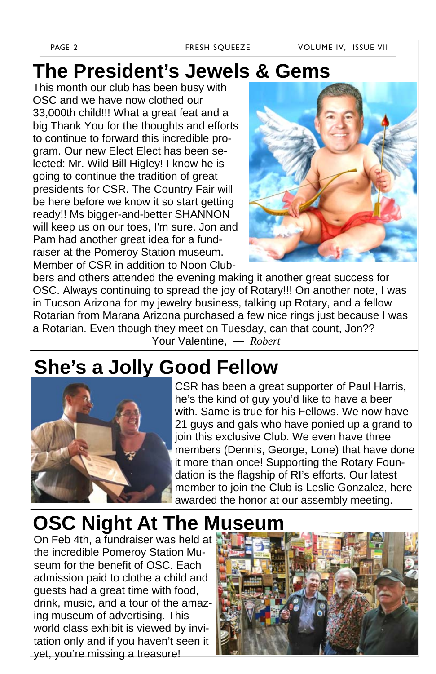#### **The President's Jewels & Gems**

This month our club has been busy with OSC and we have now clothed our 33,000th child!!! What a great feat and a big Thank You for the thoughts and efforts to continue to forward this incredible program. Our new Elect Elect has been selected: Mr. Wild Bill Higley! I know he is going to continue the tradition of great presidents for CSR. The Country Fair will be here before we know it so start getting ready!! Ms bigger-and-better SHANNON will keep us on our toes, I'm sure. Jon and Pam had another great idea for a fundraiser at the Pomeroy Station museum. Member of CSR in addition to Noon Club-



bers and others attended the evening making it another great success for OSC. Always continuing to spread the joy of Rotary!!! On another note, I was in Tucson Arizona for my jewelry business, talking up Rotary, and a fellow Rotarian from Marana Arizona purchased a few nice rings just because I was a Rotarian. Even though they meet on Tuesday, can that count, Jon?? Your Valentine, *— Robert*

#### **She's a Jolly Good Fellow**



CSR has been a great supporter of Paul Harris, he's the kind of guy you'd like to have a beer with. Same is true for his Fellows. We now have 21 guys and gals who have ponied up a grand to join this exclusive Club. We even have three members (Dennis, George, Lone) that have done it more than once! Supporting the Rotary Foundation is the flagship of RI's efforts. Our latest member to join the Club is Leslie Gonzalez, here awarded the honor at our assembly meeting.

## **OSC Night At The Museum**

On Feb 4th, a fundraiser was held at the incredible Pomeroy Station Museum for the benefit of OSC. Each admission paid to clothe a child and guests had a great time with food, drink, music, and a tour of the amazing museum of advertising. This world class exhibit is viewed by invitation only and if you haven't seen it yet, you're missing a treasure!

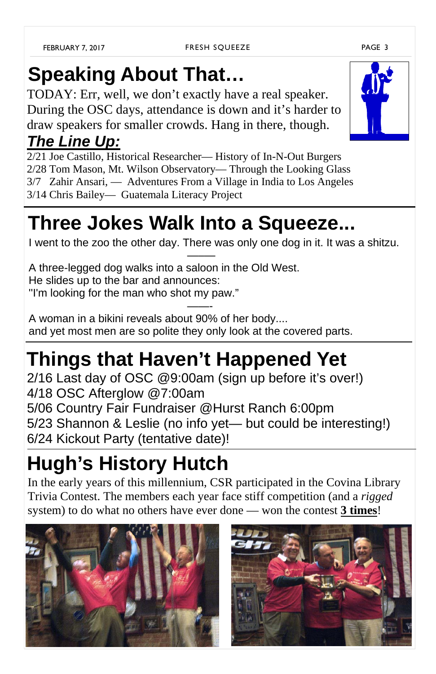# **Speaking About That…**

TODAY: Err, well, we don't exactly have a real speaker. During the OSC days, attendance is down and it's harder to draw speakers for smaller crowds. Hang in there, though.

#### *The Line Up:*

2/21 Joe Castillo, Historical Researcher— History of In-N-Out Burgers 2/28 Tom Mason, Mt. Wilson Observatory— Through the Looking Glass 3/7 Zahir Ansari, — Adventures From a Village in India to Los Angeles 3/14 Chris Bailey— Guatemala Literacy Project

# **Three Jokes Walk Into a Squeeze...**

I went to the zoo the other day. There was only one dog in it. It was a shitzu.

 —–— A three-legged dog walks into a saloon in the Old West. He slides up to the bar and announces: ''I'm looking for the man who shot my paw."

and the contract of the contract of the contract of the contract of the contract of the contract of the contract of A woman in a bikini reveals about 90% of her body.... and yet most men are so polite they only look at the covered parts.

# **Things that Haven't Happened Yet**

2/16 Last day of OSC @9:00am (sign up before it's over!) 4/18 OSC Afterglow @7:00am 5/06 Country Fair Fundraiser @Hurst Ranch 6:00pm 5/23 Shannon & Leslie (no info yet— but could be interesting!) 6/24 Kickout Party (tentative date)!

# **Hugh's History Hutch**

In the early years of this millennium, CSR participated in the Covina Library Trivia Contest. The members each year face stiff competition (and a *rigged*  system) to do what no others have ever done — won the contest **3 times**!